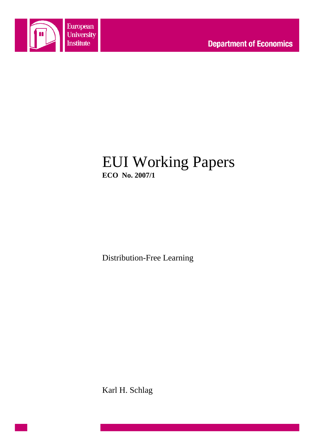

# EUI Working Papers **ECO No. 2007/1**

Distribution-Free Learning

Karl H. Schlag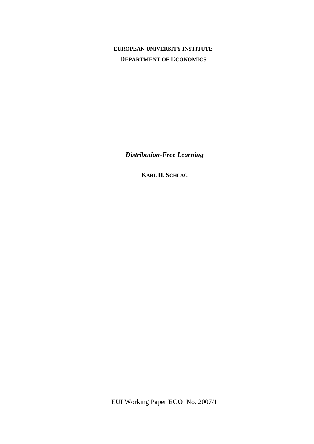## **EUROPEAN UNIVERSITY INSTITUTE DEPARTMENT OF ECONOMICS**

*Distribution-Free Learning* 

**KARL H. SCHLAG**

EUI Working Paper **ECO** No. 2007/1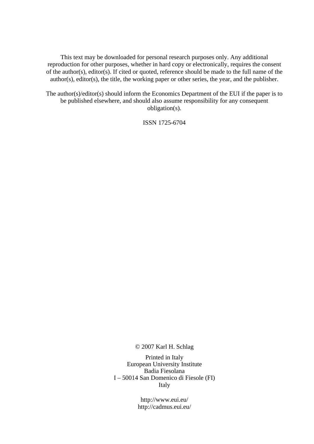This text may be downloaded for personal research purposes only. Any additional reproduction for other purposes, whether in hard copy or electronically, requires the consent of the author(s), editor(s). If cited or quoted, reference should be made to the full name of the author(s), editor(s), the title, the working paper or other series, the year, and the publisher.

The author(s)/editor(s) should inform the Economics Department of the EUI if the paper is to be published elsewhere, and should also assume responsibility for any consequent obligation(s).

ISSN 1725-6704

© 2007 Karl H. Schlag

Printed in Italy European University Institute Badia Fiesolana I – 50014 San Domenico di Fiesole (FI) Italy

> http://www.eui.eu/ http://cadmus.eui.eu/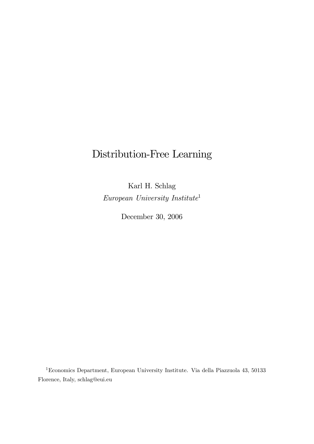# Distribution-Free Learning

Karl H. Schlag European University Institute<sup>1</sup>

December 30, 2006

<sup>1</sup>Economics Department, European University Institute. Via della Piazzuola 43, 50133 Florence, Italy, schlag@eui.eu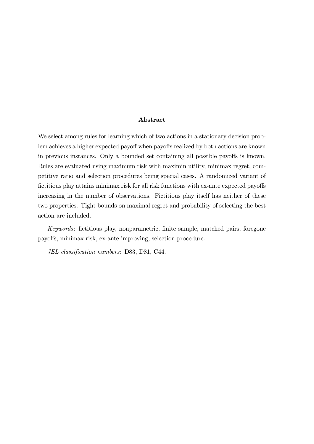#### Abstract

We select among rules for learning which of two actions in a stationary decision problem achieves a higher expected payoff when payoffs realized by both actions are known in previous instances. Only a bounded set containing all possible payoffs is known. Rules are evaluated using maximum risk with maximin utility, minimax regret, competitive ratio and selection procedures being special cases. A randomized variant of fictitious play attains minimax risk for all risk functions with ex-ante expected payoffs increasing in the number of observations. Fictitious play itself has neither of these two properties. Tight bounds on maximal regret and probability of selecting the best action are included.

Keywords: fictitious play, nonparametric, finite sample, matched pairs, foregone payoffs, minimax risk, ex-ante improving, selection procedure.

JEL classification numbers: D83, D81, C44.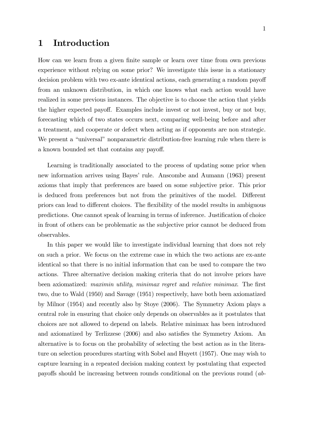## 1 Introduction

How can we learn from a given finite sample or learn over time from own previous experience without relying on some prior? We investigate this issue in a stationary decision problem with two ex-ante identical actions, each generating a random payoff from an unknown distribution, in which one knows what each action would have realized in some previous instances. The objective is to choose the action that yields the higher expected payoff. Examples include invest or not invest, buy or not buy, forecasting which of two states occurs next, comparing well-being before and after a treatment, and cooperate or defect when acting as if opponents are non strategic. We present a "universal" nonparametric distribution-free learning rule when there is a known bounded set that contains any payoff.

Learning is traditionally associated to the process of updating some prior when new information arrives using Bayes' rule. Anscombe and Aumann (1963) present axioms that imply that preferences are based on some subjective prior. This prior is deduced from preferences but not from the primitives of the model. Different priors can lead to different choices. The flexibility of the model results in ambiguous predictions. One cannot speak of learning in terms of inference. Justification of choice in front of others can be problematic as the subjective prior cannot be deduced from observables.

In this paper we would like to investigate individual learning that does not rely on such a prior. We focus on the extreme case in which the two actions are ex-ante identical so that there is no initial information that can be used to compare the two actions. Three alternative decision making criteria that do not involve priors have been axiomatized: maximin utility, minimax regret and relative minimax. The first two, due to Wald (1950) and Savage (1951) respectively, have both been axiomatized by Milnor (1954) and recently also by Stoye (2006). The Symmetry Axiom plays a central role in ensuring that choice only depends on observables as it postulates that choices are not allowed to depend on labels. Relative minimax has been introduced and axiomatized by Terlizzese (2006) and also satisfies the Symmetry Axiom. An alternative is to focus on the probability of selecting the best action as in the literature on selection procedures starting with Sobel and Huyett (1957). One may wish to capture learning in a repeated decision making context by postulating that expected payoffs should be increasing between rounds conditional on the previous round  $(ab - b)$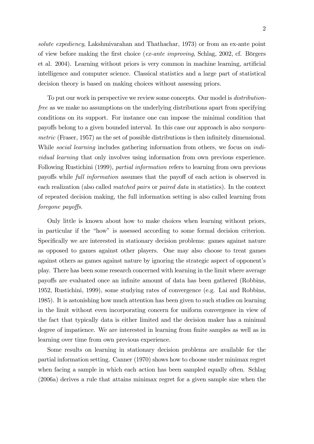solute expediency, Lakshmivarahan and Thathachar, 1973) or from an ex-ante point of view before making the first choice (ex-ante improving, Schlag, 2002, cf. Börgers et al. 2004). Learning without priors is very common in machine learning, artificial intelligence and computer science. Classical statistics and a large part of statistical decision theory is based on making choices without assessing priors.

To put our work in perspective we review some concepts. Our model is *distribution*free as we make no assumptions on the underlying distributions apart from specifying conditions on its support. For instance one can impose the minimal condition that payoffs belong to a given bounded interval. In this case our approach is also *nonpara*metric (Fraser, 1957) as the set of possible distributions is then infinitely dimensional. While *social learning* includes gathering information from others, we focus on *indi*vidual learning that only involves using information from own previous experience. Following Rustichini (1999), partial information refers to learning from own previous payoffs while *full information* assumes that the payoff of each action is observed in each realization (also called matched pairs or paired data in statistics). In the context of repeated decision making, the full information setting is also called learning from foregone payoffs.

Only little is known about how to make choices when learning without priors, in particular if the "how" is assessed according to some formal decision criterion. Specifically we are interested in stationary decision problems: games against nature as opposed to games against other players. One may also choose to treat games against others as games against nature by ignoring the strategic aspect of opponent's play. There has been some research concerned with learning in the limit where average payo§s are evaluated once an inÖnite amount of data has been gathered (Robbins, 1952, Rustichini, 1999), some studying rates of convergence (e.g. Lai and Robbins, 1985). It is astonishing how much attention has been given to such studies on learning in the limit without even incorporating concern for uniform convergence in view of the fact that typically data is either limited and the decision maker has a minimal degree of impatience. We are interested in learning from finite samples as well as in learning over time from own previous experience.

Some results on learning in stationary decision problems are available for the partial information setting. Canner (1970) shows how to choose under minimax regret when facing a sample in which each action has been sampled equally often. Schlag (2006a) derives a rule that attains minimax regret for a given sample size when the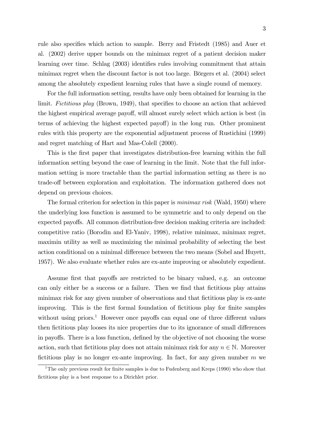rule also specifies which action to sample. Berry and Fristedt (1985) and Auer et al. (2002) derive upper bounds on the minimax regret of a patient decision maker learning over time. Schlag (2003) identifies rules involving commitment that attain minimax regret when the discount factor is not too large. Börgers et al.  $(2004)$  select among the absolutely expedient learning rules that have a single round of memory.

For the full information setting, results have only been obtained for learning in the limit. Fictitious play (Brown, 1949), that specifies to choose an action that achieved the highest empirical average payoff, will almost surely select which action is best (in terms of achieving the highest expected payoff) in the long run. Other prominent rules with this property are the exponential adjustment process of Rustichini (1999) and regret matching of Hart and Mas-Colell (2000).

This is the first paper that investigates distribution-free learning within the full information setting beyond the case of learning in the limit. Note that the full information setting is more tractable than the partial information setting as there is no trade-off between exploration and exploitation. The information gathered does not depend on previous choices.

The formal criterion for selection in this paper is *minimax risk* (Wald, 1950) where the underlying loss function is assumed to be symmetric and to only depend on the expected payoffs. All common distribution-free decision making criteria are included: competitive ratio (Borodin and El-Yaniv, 1998), relative minimax, minimax regret, maximin utility as well as maximizing the minimal probability of selecting the best action conditional on a minimal difference between the two means (Sobel and Huyett, 1957). We also evaluate whether rules are ex-ante improving or absolutely expedient.

Assume first that payoffs are restricted to be binary valued, e.g. an outcome can only either be a success or a failure. Then we find that fictitious play attains minimax risk for any given number of observations and that fictitious play is ex-ante improving. This is the first formal foundation of fictitious play for finite samples without using priors.<sup>1</sup> However once payoffs can equal one of three different values then fictitious play looses its nice properties due to its ignorance of small differences in payoffs. There is a loss function, defined by the objective of not choosing the worse action, such that fictitious play does not attain minimax risk for any  $n \in \mathbb{N}$ . Moreover fictitious play is no longer ex-ante improving. In fact, for any given number  $m$  we

<sup>&</sup>lt;sup>1</sup>The only previous result for finite samples is due to Fudenberg and Kreps (1990) who show that fictitious play is a best response to a Dirichlet prior.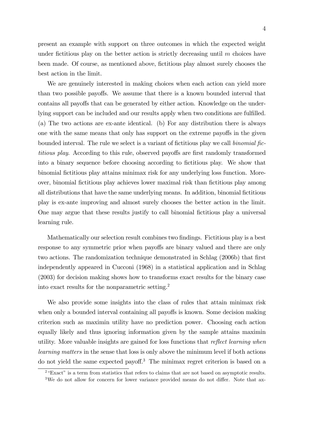present an example with support on three outcomes in which the expected weight under fictitious play on the better action is strictly decreasing until  $m$  choices have been made. Of course, as mentioned above, fictitious play almost surely chooses the best action in the limit.

We are genuinely interested in making choices when each action can yield more than two possible payoffs. We assume that there is a known bounded interval that contains all payoffs that can be generated by either action. Knowledge on the underlying support can be included and our results apply when two conditions are fulfilled. (a) The two actions are ex-ante identical. (b) For any distribution there is always one with the same means that only has support on the extreme payoffs in the given bounded interval. The rule we select is a variant of fictitious play we call *binomial fic*titious play. According to this rule, observed payoffs are first randomly transformed into a binary sequence before choosing according to fictitious play. We show that binomial Öctitious play attains minimax risk for any underlying loss function. Moreover, binomial Öctitious play achieves lower maximal risk than Öctitious play among all distributions that have the same underlying means. In addition, binomial Öctitious play is ex-ante improving and almost surely chooses the better action in the limit. One may argue that these results justify to call binomial fictitious play a universal learning rule.

Mathematically our selection result combines two findings. Fictitious play is a best response to any symmetric prior when payoffs are binary valued and there are only two actions. The randomization technique demonstrated in Schlag (2006b) that first independently appeared in Cucconi (1968) in a statistical application and in Schlag (2003) for decision making shows how to transforms exact results for the binary case into exact results for the nonparametric setting.<sup>2</sup>

We also provide some insights into the class of rules that attain minimax risk when only a bounded interval containing all payoffs is known. Some decision making criterion such as maximin utility have no prediction power. Choosing each action equally likely and thus ignoring information given by the sample attains maximin utility. More valuable insights are gained for loss functions that reflect learning when learning matters in the sense that loss is only above the minimum level if both actions do not yield the same expected payoff.<sup>3</sup> The minimax regret criterion is based on a

 $2 \text{``Exact''}$  is a term from statistics that refers to claims that are not based on asymptotic results.  $3$ We do not allow for concern for lower variance provided means do not differ. Note that ax-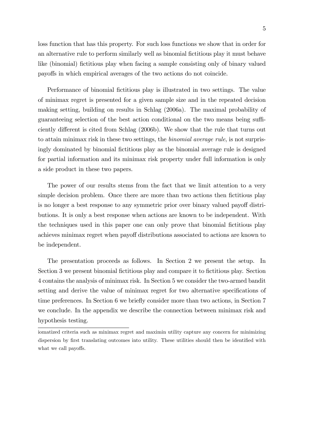loss function that has this property. For such loss functions we show that in order for an alternative rule to perform similarly well as binomial fictitious play it must behave like (binomial) fictitious play when facing a sample consisting only of binary valued payoffs in which empirical averages of the two actions do not coincide.

Performance of binomial Öctitious play is illustrated in two settings. The value of minimax regret is presented for a given sample size and in the repeated decision making setting, building on results in Schlag (2006a). The maximal probability of guaranteeing selection of the best action conditional on the two means being sufficiently different is cited from Schlag (2006b). We show that the rule that turns out to attain minimax risk in these two settings, the binomial average rule, is not surprisingly dominated by binomial fictitious play as the binomial average rule is designed for partial information and its minimax risk property under full information is only a side product in these two papers.

The power of our results stems from the fact that we limit attention to a very simple decision problem. Once there are more than two actions then fictitious play is no longer a best response to any symmetric prior over binary valued payoff distributions. It is only a best response when actions are known to be independent. With the techniques used in this paper one can only prove that binomial fictitious play achieves minimax regret when payoff distributions associated to actions are known to be independent.

The presentation proceeds as follows. In Section 2 we present the setup. In Section 3 we present binomial fictitious play and compare it to fictitious play. Section 4 contains the analysis of minimax risk. In Section 5 we consider the two-armed bandit setting and derive the value of minimax regret for two alternative specifications of time preferences. In Section 6 we briefly consider more than two actions, in Section 7 we conclude. In the appendix we describe the connection between minimax risk and hypothesis testing.

iomatized criteria such as minimax regret and maximin utility capture any concern for minimizing dispersion by first translating outcomes into utility. These utilities should then be identified with what we call payoffs.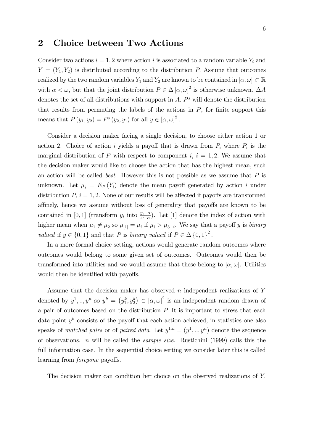### 2 Choice between Two Actions

Consider two actions  $i = 1, 2$  where action i is associated to a random variable  $Y_i$  and  $Y = (Y_1, Y_2)$  is distributed according to the distribution P. Assume that outcomes realized by the two random variables  $Y_1$  and  $Y_2$  are known to be contained in  $[\alpha, \omega] \subset \mathbb{R}$ with  $\alpha < \omega$ , but that the joint distribution  $P \in \Delta [\alpha, \omega]^2$  is otherwise unknown.  $\Delta A$ denotes the set of all distributions with support in  $A$ .  $P^s$  will denote the distribution that results from permuting the labels of the actions in  $P$ , for finite support this means that  $P(y_1, y_2) = P^s(y_2, y_1)$  for all  $y \in [\alpha, \omega]^2$ .

Consider a decision maker facing a single decision, to choose either action 1 or action 2. Choice of action i yields a payoff that is drawn from  $P_i$  where  $P_i$  is the marginal distribution of P with respect to component i,  $i = 1, 2$ . We assume that the decision maker would like to choose the action that has the highest mean, such an action will be called *best*. However this is not possible as we assume that  $P$  is unknown. Let  $\mu_i = E_P(Y_i)$  denote the mean payoff generated by action i under distribution  $P, i = 1, 2$ . None of our results will be affected if payoffs are transformed affinely, hence we assume without loss of generality that payoffs are known to be contained in [0, 1] (transform  $y_i$  into  $\frac{y_i-\alpha}{\omega-\alpha}$ ). Let [1] denote the index of action with higher mean when  $\mu_1 \neq \mu_2$  so  $\mu_{[1]} = \mu_i$  if  $\mu_i > \mu_{3-i}$ . We say that a payoff y is binary *valued* if  $y \in \{0, 1\}$  and that P is *binary valued* if  $P \in \Delta \{0, 1\}^2$ .

In a more formal choice setting, actions would generate random outcomes where outcomes would belong to some given set of outcomes. Outcomes would then be transformed into utilities and we would assume that these belong to  $[\alpha, \omega]$ . Utilities would then be identified with payoffs.

Assume that the decision maker has observed  $n$  independent realizations of  $Y$ denoted by  $y^1, ..., y^n$  so  $y^k = (y_1^k, y_2^k) \in [\alpha, \omega]^2$  is an independent random drawn of a pair of outcomes based on the distribution  $P$ . It is important to stress that each data point  $y^k$  consists of the payoff that each action achieved, in statistics one also speaks of matched pairs or of paired data. Let  $y^{1,n} = (y^1, ..., y^n)$  denote the sequence of observations. *n* will be called the *sample size*. Rustichini (1999) calls this the full information case. In the sequential choice setting we consider later this is called learning from *foregone* payoffs.

The decision maker can condition her choice on the observed realizations of Y: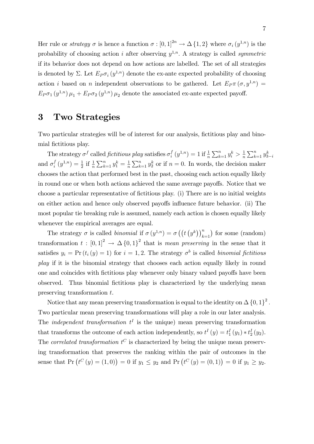Her rule or *strategy*  $\sigma$  is hence a function  $\sigma : [0,1]^{2n} \to \Delta \{1,2\}$  where  $\sigma_i (y^{1,n})$  is the probability of choosing action i after observing  $y^{1,n}$ . A strategy is called *symmetric* if its behavior does not depend on how actions are labelled. The set of all strategies is denoted by  $\Sigma$ . Let  $E_P \sigma_i (y^{1,n})$  denote the ex-ante expected probability of choosing action *i* based on *n* independent observations to be gathered. Let  $E_P \pi (\sigma, y^{1,n}) =$  $E_P \sigma_1(y^{1,n}) \mu_1 + E_P \sigma_2(y^{1,n}) \mu_2$  denote the associated ex-ante expected payoff.

## 3 Two Strategies

Two particular strategies will be of interest for our analysis, fictitious play and binomial fictitious play.

The strategy  $\sigma^f$  called *fictitious play* satisfies  $\sigma_i^f$  $\int_{i}^{f} (y^{1,n}) = 1$  if  $\frac{1}{n} \sum_{k=1}^{n} y_{i}^{k} > \frac{1}{n}$  $\frac{1}{n} \sum_{k=1}^{n} y_{3-i}^k$ and  $\sigma_i^f$  $\frac{f}{i}(y^{1,n}) = \frac{1}{2}$  if  $\frac{1}{n} \sum_{k=1}^{n} y_1^k = \frac{1}{n}$  $\frac{1}{n}\sum_{k=1}^{n} y_2^k$  or if  $n = 0$ . In words, the decision maker chooses the action that performed best in the past, choosing each action equally likely in round one or when both actions achieved the same average payoffs. Notice that we choose a particular representative of Öctitious play. (i) There are is no initial weights on either action and hence only observed payoffs influence future behavior. (ii) The most popular tie breaking rule is assumed, namely each action is chosen equally likely whenever the empirical averages are equal.

The strategy  $\sigma$  is called *binomial* if  $\sigma(y^{1,n}) = \sigma((t(y^k))_{k=1}^n)$  for some (random) transformation  $t: [0,1]^2 \to \Delta \{0,1\}^2$  that is mean preserving in the sense that it satisfies  $y_i = Pr(t_i(y) = 1)$  for  $i = 1, 2$ . The strategy  $\sigma^b$  is called binomial fictitious play if it is the binomial strategy that chooses each action equally likely in round one and coincides with fictitious play whenever only binary valued payoffs have been observed. Thus binomial fictitious play is characterized by the underlying mean preserving transformation t.

Notice that any mean preserving transformation is equal to the identity on  $\Delta\left\{0,1\right\}^2$ . Two particular mean preserving transformations will play a role in our later analysis. The *independent transformation*  $t^I$  is the unique) mean preserving transformation that transforms the outcome of each action independently, so  $t^I(y) = t_1^I(y_1) * t_2^I(y_2)$ . The *correlated transformation*  $t^C$  is characterized by being the unique mean preserving transformation that preserves the ranking within the pair of outcomes in the sense that  $Pr(t^C(y) = (1,0)) = 0$  if  $y_1 \le y_2$  and  $Pr(t^C(y) = (0,1)) = 0$  if  $y_1 \ge y_2$ .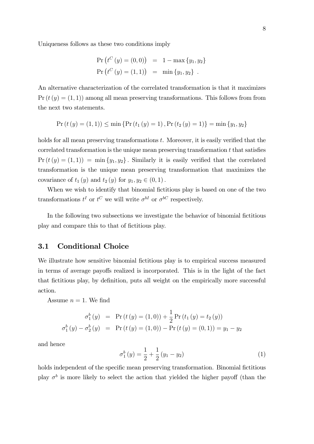Uniqueness follows as these two conditions imply

$$
Pr(t^{C}(y) = (0,0)) = 1 - max{y1, y2}
$$
  
\n
$$
Pr(t^{C}(y) = (1,1)) = min{y1, y2}
$$
.

An alternative characterization of the correlated transformation is that it maximizes  $Pr(t(y) = (1, 1))$  among all mean preserving transformations. This follows from from the next two statements.

$$
Pr(t(y) = (1, 1)) \le \min \{ Pr(t_1(y) = 1), Pr(t_2(y) = 1) \} = \min \{ y_1, y_2 \}
$$

holds for all mean preserving transformations  $t$ . Moreover, it is easily verified that the correlated transformation is the unique mean preserving transformation  $t$  that satisfies  $Pr(t(y) = (1, 1)) = min{y_1, y_2}.$  Similarly it is easily verified that the correlated transformation is the unique mean preserving transformation that maximizes the covariance of  $t_1(y)$  and  $t_2(y)$  for  $y_1, y_2 \in (0, 1)$ .

When we wish to identify that binomial fictitious play is based on one of the two transformations  $t^I$  or  $t^C$  we will write  $\sigma^{bI}$  or  $\sigma^{bC}$  respectively.

In the following two subsections we investigate the behavior of binomial fictitious play and compare this to that of fictitious play.

#### 3.1 Conditional Choice

We illustrate how sensitive binomial fictitious play is to empirical success measured in terms of average payoffs realized is incorporated. This is in the light of the fact that fictitious play, by definition, puts all weight on the empirically more successful action.

Assume  $n = 1$ . We find

$$
\sigma_1^b(y) = \Pr(t(y) = (1,0)) + \frac{1}{2}\Pr(t_1(y) = t_2(y))
$$
  

$$
\sigma_1^b(y) - \sigma_2^b(y) = \Pr(t(y) = (1,0)) - \Pr(t(y) = (0,1)) = y_1 - y_2
$$

and hence

$$
\sigma_1^b(y) = \frac{1}{2} + \frac{1}{2}(y_1 - y_2)
$$
 (1)

holds independent of the specific mean preserving transformation. Binomial fictitious play  $\sigma^b$  is more likely to select the action that yielded the higher payoff (than the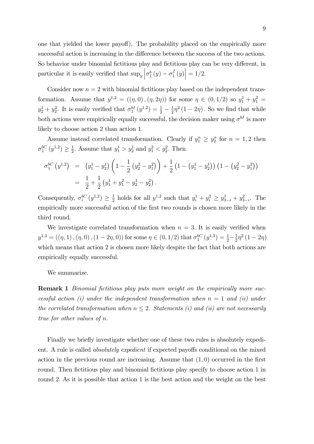one that yielded the lower payoff). The probability placed on the empirically more successful action is increasing in the difference between the success of the two actions. So behavior under binomial fictitious play and fictitious play can be very different, in particular it is easily verified that  $\sup_y \left| \sigma_1^b(y) - \sigma_1^f(y) \right|$  $\left. \frac{f}{1}(y) \right| = 1/2.$ 

Consider now  $n = 2$  with binomial fictitious play based on the independent transformation. Assume that  $y^{1,2} = ((\eta, 0), (\eta, 2\eta))$  for some  $\eta \in (0, 1/2)$  so  $y_1^1 + y_1^2 =$  $y_2^1 + y_2^2$ . It is easily verified that  $\sigma_1^{bI}(y^{1,2}) = \frac{1}{2} - \frac{1}{2}$  $\frac{1}{2}\eta^2(1-2\eta)$ . So we find that while both actions were empirically equally successful, the decision maker using  $\sigma^{bI}$  is more likely to choose action 2 than action 1:

Assume instead correlated transformation. Clearly if  $y_1^n \ge y_2^n$  for  $n = 1, 2$  then  $\sigma_1^{bC}(y^{1,2}) \geq \frac{1}{2}$  $\frac{1}{2}$ . Assume that  $y_1^1 > y_2^1$  and  $y_1^2 < y_2^2$ . Then

$$
\sigma_1^{bC} (y^{1,2}) = (y_1^1 - y_2^1) \left( 1 - \frac{1}{2} (y_2^2 - y_1^2) \right) + \frac{1}{2} (1 - (y_1^1 - y_2^1)) (1 - (y_2^2 - y_1^2))
$$
  
=  $\frac{1}{2} + \frac{1}{2} (y_1^1 + y_1^2 - y_2^1 - y_2^2).$ 

Consequently,  $\sigma_i^{bC}(y^{1,2}) \geq \frac{1}{2}$  $\frac{1}{2}$  holds for all  $y^{1,2}$  such that  $y_i^1 + y_i^2 \ge y_{3-i}^1 + y_{3-i}^2$ . The empirically more successful action of the first two rounds is chosen more likely in the third round.

We investigate correlated transformation when  $n = 3$ . It is easily verified when  $y^{1,3} = ((\eta, 1), (\eta, 0), (1 - 2\eta, 0))$  for some  $\eta \in (0, 1/2)$  that  $\sigma_1^{bC}(y^{1,3}) = \frac{1}{2} - \frac{1}{2}$  $\frac{1}{2}\eta^2(1-2\eta)$ which means that action 2 is chosen more likely despite the fact that both actions are empirically equally successful.

We summarize.

**Remark 1** Binomial fictitious play puts more weight on the empirically more successful action (i) under the independent transformation when  $n = 1$  and (ii) under the correlated transformation when  $n \leq 2$ . Statements (i) and (ii) are not necessarily true for other values of n.

Finally we briefly investigate whether one of these two rules is absolutely expedient. A rule is called *absolutely expedient* if expected payoffs conditional on the mixed action in the previous round are increasing. Assume that  $(1,0)$  occurred in the first round. Then fictitious play and binomial fictitious play specify to choose action 1 in round 2. As it is possible that action 1 is the best action and the weight on the best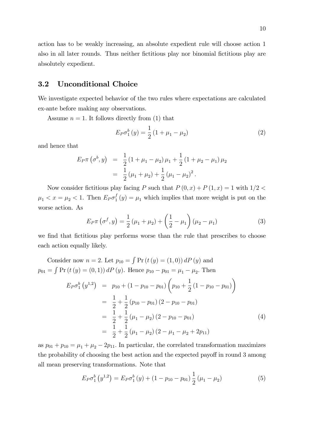action has to be weakly increasing, an absolute expedient rule will choose action 1 also in all later rounds. Thus neither fictitious play nor binomial fictitious play are absolutely expedient.

#### 3.2 Unconditional Choice

We investigate expected behavior of the two rules where expectations are calculated ex-ante before making any observations.

Assume  $n = 1$ . It follows directly from (1) that

$$
E_P \sigma_1^b(y) = \frac{1}{2} (1 + \mu_1 - \mu_2)
$$
 (2)

and hence that

$$
E_P \pi (\sigma^b, y) = \frac{1}{2} (1 + \mu_1 - \mu_2) \mu_1 + \frac{1}{2} (1 + \mu_2 - \mu_1) \mu_2
$$
  
= 
$$
\frac{1}{2} (\mu_1 + \mu_2) + \frac{1}{2} (\mu_1 - \mu_2)^2.
$$

Now consider fictitious play facing P such that  $P(0, x) + P(1, x) = 1$  with  $1/2 <$  $\mu_1 < x = \mu_2 < 1$ . Then  $E_P \sigma_1^f$  $j_1(y) = \mu_1$  which implies that more weight is put on the worse action. As

$$
E_P \pi \left( \sigma^f, y \right) = \frac{1}{2} \left( \mu_1 + \mu_2 \right) + \left( \frac{1}{2} - \mu_1 \right) \left( \mu_2 - \mu_1 \right) \tag{3}
$$

we find that fictitious play performs worse than the rule that prescribes to choose each action equally likely.

Consider now 
$$
n = 2
$$
. Let  $p_{10} = \int Pr(t(y) = (1, 0)) dP(y)$  and  
\n
$$
p_{01} = \int Pr(t(y) = (0, 1)) dP(y).
$$
\nHence  $p_{10} - p_{01} = \mu_1 - \mu_2$ . Then  
\n
$$
E_P \sigma_1^b(y^{1,2}) = p_{10} + (1 - p_{10} - p_{01}) \left( p_{10} + \frac{1}{2} (1 - p_{10} - p_{01}) \right)
$$
\n
$$
= \frac{1}{2} + \frac{1}{2} (p_{10} - p_{01}) (2 - p_{10} - p_{01})
$$
\n
$$
= \frac{1}{2} + \frac{1}{2} (\mu_1 - \mu_2) (2 - p_{10} - p_{01})
$$
\n
$$
= \frac{1}{2} + \frac{1}{2} (\mu_1 - \mu_2) (2 - \mu_1 - \mu_2 + 2p_{11})
$$
\n(4)

as  $p_{01} + p_{10} = \mu_1 + \mu_2 - 2p_{11}$ . In particular, the correlated transformation maximizes the probability of choosing the best action and the expected payoff in round 3 among all mean preserving transformations. Note that

$$
E_P \sigma_1^b(y^{1,2}) = E_P \sigma_1^b(y) + (1 - p_{10} - p_{01}) \frac{1}{2} (\mu_1 - \mu_2)
$$
 (5)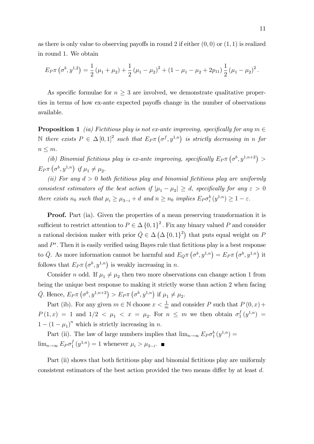as there is only value to observing payoffs in round 2 if either  $(0,0)$  or  $(1,1)$  is realized in round 1. We obtain

$$
E_P \pi \left(\sigma^b, y^{1,2}\right) = \frac{1}{2} \left(\mu_1 + \mu_2\right) + \frac{1}{2} \left(\mu_1 - \mu_2\right)^2 + \left(1 - \mu_1 - \mu_2 + 2p_{11}\right) \frac{1}{2} \left(\mu_1 - \mu_2\right)^2.
$$

As specific formulae for  $n \geq 3$  are involved, we demonstrate qualitative properties in terms of how ex-ante expected payoffs change in the number of observations available.

**Proposition 1** (ia) Fictitious play is not ex-ante improving, specifically for any  $m \in$ N there exists  $P \in \Delta [0,1]^2$  such that  $E_P \pi (\sigma^f, y^{1,n})$  is strictly decreasing in n for  $n \leq m$ .

(ib) Binomial fictitious play is ex-ante improving, specifically  $E_P \pi(\sigma^b, y^{1,n+2}) >$  $E_P \pi \left(\sigma^b, y^{1,n}\right)$  if  $\mu_1 \neq \mu_2$ .

(ii) For any  $d > 0$  both fictitious play and binomial fictitious play are uniformly consistent estimators of the best action if  $|\mu_1 - \mu_2| \geq d$ , specifically for any  $\varepsilon > 0$ there exists  $n_0$  such that  $\mu_i \ge \mu_{3-i} + d$  and  $n \ge n_0$  implies  $E_P \sigma_i^b(y^{1,n}) \ge 1 - \varepsilon$ .

Proof. Part (ia). Given the properties of a mean preserving transformation it is sufficient to restrict attention to  $P \in \Delta \{0,1\}^2$ . Fix any binary valued P and consider a rational decision maker with prior  $\overline{Q} \in \Delta(\Delta\{0,1\}^2)$  that puts equal weight on F and  $P^s$ . Then it is easily verified using Bayes rule that fictitious play is a best response to  $\bar{Q}$ . As more information cannot be harmful and  $E_{Q} \pi (\sigma^b, y^{1,n}) = E_{P} \pi (\sigma^b, y^{1,n})$  it follows that  $E_P \pi(\sigma^b, y^{1,n})$  is weakly increasing in n.

Consider *n* odd. If  $\mu_1 \neq \mu_2$  then two more observations can change action 1 from being the unique best response to making it strictly worse than action 2 when facing  $\bar{Q}$ . Hence,  $E_P \pi (\sigma^b, y^{1,n+2}) > E_P \pi (\sigma^b, y^{1,n})$  if  $\mu_1 \neq \mu_2$ .

Part (ib). For any given  $m \in \mathbb{N}$  choose  $x < \frac{1}{m}$  and consider P such that  $P(0, x)$  +  $P(1,x) = 1$  and  $1/2 < \mu_1 < x = \mu_2$ . For  $n \leq m$  we then obtain  $\sigma_1^f$  $j_{1}^{f}(y^{1,n}) =$  $1 - (1 - \mu_1)^n$  which is strictly increasing in n.

Part (ii). The law of large numbers implies that  $\lim_{n\to\infty} E_P \sigma_1^b(y^{1,n}) =$  $\lim_{n\to\infty} E_P \sigma_1^f$  $j_1^f(y^{1,n}) = 1$  whenever  $\mu_i > \mu_{3-i}$ .

Part (ii) shows that both fictitious play and binomial fictitious play are uniformly consistent estimators of the best action provided the two means differ by at least  $d$ .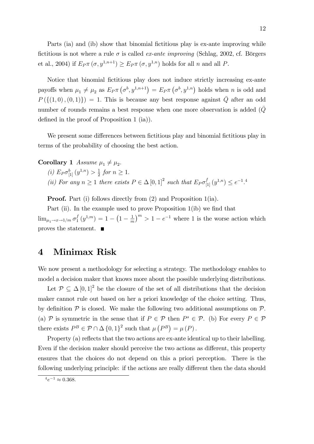Parts (ia) and (ib) show that binomial fictitious play is ex-ante improving while fictitious is not where a rule  $\sigma$  is called *ex-ante improving* (Schlag, 2002, cf. Börgers et al., 2004) if  $E_P \pi(\sigma, y^{1,n+1}) \geq E_P \pi(\sigma, y^{1,n})$  holds for all n and all P.

Notice that binomial fictitious play does not induce strictly increasing ex-ante payoffs when  $\mu_1 \neq \mu_2$  as  $E_P \pi(\sigma^b, y^{1,n+1}) = E_P \pi(\sigma^b, y^{1,n})$  holds when n is odd and  $P(\{(1,0), (0,1)\}) = 1.$  This is because any best response against  $\overline{Q}$  after an odd number of rounds remains a best response when one more observation is added (Q) defined in the proof of Proposition 1 (ia)).

We present some differences between fictitious play and binomial fictitious play in terms of the probability of choosing the best action.

**Corollary 1** Assume  $\mu_1 \neq \mu_2$ .

- (*i*)  $E_P \sigma_{[1]}^b(y^{1,n}) > \frac{1}{2}$  $\frac{1}{2}$  for  $n \geq 1$ .
- (ii) For any  $n \geq 1$  there exists  $P \in \Delta [0,1]^2$  such that  $E_P \sigma_{[1]}^f(y^{1,n}) \leq e^{-1.4}$

Proof. Part (i) follows directly from (2) and Proposition 1(ia).

Part (ii). In the example used to prove Proposition  $1$ (ib) we find that  $\lim_{\mu_1 \to x \to 1/m} \sigma_1^f$  $\binom{f}{1}(y^{1,m}) = 1 - \left(1 - \frac{1}{m}\right)$  $\left(\frac{1}{m}\right)^m > 1 - e^{-1}$  where 1 is the worse action which proves the statement.

## 4 Minimax Risk

We now present a methodology for selecting a strategy. The methodology enables to model a decision maker that knows more about the possible underlying distributions.

Let  $P \subseteq \Delta [0,1]^2$  be the closure of the set of all distributions that the decision maker cannot rule out based on her a priori knowledge of the choice setting. Thus, by definition  $\mathcal P$  is closed. We make the following two additional assumptions on  $\mathcal P$ . (a) P is symmetric in the sense that if  $P \in \mathcal{P}$  then  $P^s \in \mathcal{P}$ . (b) For every  $P \in \mathcal{P}$ there exists  $P^B \in \mathcal{P} \cap \Delta \{0, 1\}^2$  such that  $\mu(P^B) = \mu(P)$ .

Property (a) reflects that the two actions are ex-ante identical up to their labelling. Even if the decision maker should perceive the two actions as different, this property ensures that the choices do not depend on this a priori perception. There is the following underlying principle: if the actions are really different then the data should

 $^{4}e^{-1} \approx 0.368.$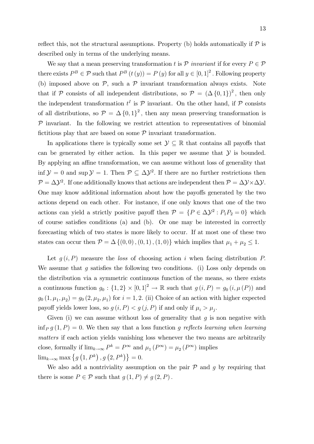reflect this, not the structural assumptions. Property (b) holds automatically if  $\mathcal P$  is described only in terms of the underlying means.

We say that a mean preserving transformation t is  $P$  invariant if for every  $P \in \mathcal{P}$ there exists  $P^B \in \mathcal{P}$  such that  $P^B(t(y)) = P(y)$  for all  $y \in [0,1]^2$ . Following property (b) imposed above on  $P$ , such a  $P$  invariant transformation always exists. Note that if P consists of all independent distributions, so  $P = (\Delta \{0, 1\})^2$ , then only the independent transformation  $t^I$  is  $\mathcal P$  invariant. On the other hand, if  $\mathcal P$  consists of all distributions, so  $\mathcal{P} = \Delta \{0, 1\}^2$ , then any mean preserving transformation is  $P$  invariant. In the following we restrict attention to representatives of binomial fictitious play that are based on some  $P$  invariant transformation.

In applications there is typically some set  $\mathcal{Y} \subseteq \mathbb{R}$  that contains all payoffs that can be generated by either action. In this paper we assume that  $\mathcal Y$  is bounded. By applying an affine transformation, we can assume without loss of generality that inf  $\mathcal{Y} = 0$  and sup  $\mathcal{Y} = 1$ . Then  $\mathcal{P} \subseteq \Delta \mathcal{Y}^2$ . If there are no further restrictions then  $\mathcal{P} = \Delta \mathcal{Y}^2$ . If one additionally knows that actions are independent then  $\mathcal{P} = \Delta \mathcal{Y} \times \Delta \mathcal{Y}$ . One may know additional information about how the payoffs generated by the two actions depend on each other. For instance, if one only knows that one of the two actions can yield a strictly positive payoff then  $P = \{P \in \Delta \mathcal{Y}^2 : P_1 P_2 = 0\}$  which of course satisfies conditions (a) and (b). Or one may be interested in correctly forecasting which of two states is more likely to occur. If at most one of these two states can occur then  $P = \Delta \{ (0, 0), (0, 1), (1, 0) \}$  which implies that  $\mu_1 + \mu_2 \leq 1$ .

Let  $g(i, P)$  measure the loss of choosing action i when facing distribution P. We assume that q satisfies the following two conditions. (i) Loss only depends on the distribution via a symmetric continuous function of the means, so there exists a continuous function  $g_0: \{1,2\} \times [0,1]^2 \to \mathbb{R}$  such that  $g(i, P) = g_0(i, \mu(P))$  and  $g_0(1, \mu_1, \mu_2) = g_0(2, \mu_2, \mu_1)$  for  $i = 1, 2$ . (ii) Choice of an action with higher expected payoff yields lower loss, so  $g(i, P) < g(j, P)$  if and only if  $\mu_i > \mu_j$ .

Given (i) we can assume without loss of generality that  $g$  is non negative with inf<sub>P</sub> g (1, P) = 0. We then say that a loss function g reflects learning when learning matters if each action yields vanishing loss whenever the two means are arbitrarily close, formally if  $\lim_{k\to\infty} P^k = P^{\infty}$  and  $\mu_1(P^{\infty}) = \mu_2(P^{\infty})$  implies  $\lim_{k\to\infty} \max\left\{g\left(1,P^k\right),g\left(2,P^k\right)\right\}=0.$ 

We also add a nontriviality assumption on the pair  $\mathcal P$  and  $q$  by requiring that there is some  $P \in \mathcal{P}$  such that  $g(1, P) \neq g(2, P)$ .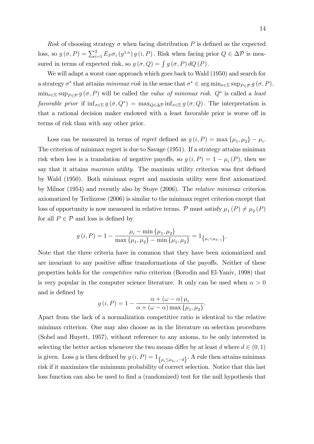Risk of choosing strategy  $\sigma$  when facing distribution P is defined as the expected loss, so  $g(\sigma, P) = \sum_{i=1}^{2} E_P \sigma_i(y^{1,n}) g(i, P)$ . Risk when facing prior  $Q \in \Delta P$  is measured in terms of expected risk, so  $g(\sigma, Q) = \int g(\sigma, P) dQ(P)$ .

We will adapt a worst case approach which goes back to Wald (1950) and search for a strategy  $\sigma^*$  that attains *minimax risk* in the sense that  $\sigma^* \in \arg \min_{\sigma \in \Sigma} \sup_{P \in \mathcal{P}} g(\sigma, P)$ .  $\min_{\sigma \in \Sigma} \sup_{P \in \mathcal{P}} g(\sigma, P)$  will be called the *value of minimax risk.*  $Q^*$  is called a *least* favorable prior if  $\inf_{\sigma \in \Sigma} g(\sigma, Q^*) = \max_{Q \in \Delta \mathcal{P}} \inf_{\sigma \in \Sigma} g(\sigma, Q)$ . The interpretation is that a rational decision maker endowed with a least favorable prior is worse off in terms of risk than with any other prior.

Loss can be measured in terms of *regret* defined as  $g(i, P) = \max\{\mu_1, \mu_2\} - \mu_i$ . The criterion of minimax regret is due to Savage (1951). If a strategy attains minimax risk when loss is a translation of negative payoffs, so  $g(i, P) = 1 - \mu_i(P)$ , then we say that it attains *maximin utility*. The maximin utility criterion was first defined by Wald (1950). Both minimax regret and maximin utility were first axiomatized by Milnor (1954) and recently also by Stoye (2006). The relative minimax criterion axiomatized by Terlizzese (2006) is similar to the minimax regret criterion except that loss of opportunity is now measured in relative terms. P must satisfy  $\mu_1(P) \neq \mu_2(P)$ for all  $P \in \mathcal{P}$  and loss is defined by

$$
g(i, P) = 1 - \frac{\mu_i - \min\{\mu_1, \mu_2\}}{\max\{\mu_1, \mu_2\} - \min\{\mu_1, \mu_2\}} = 1_{\{\mu_i < \mu_{3-i}\}}.
$$

Note that the three criteria have in common that they have been axiomatized and are invariant to any positive affine transformations of the payoffs. Neither of these properties holds for the competitive ratio criterion (Borodin and El-Yaniv, 1998) that is very popular in the computer science literature. It only can be used when  $\alpha > 0$ and is defined by

$$
g(i, P) = 1 - \frac{\alpha + (\omega - \alpha)\mu_i}{\alpha + (\omega - \alpha)\max\{\mu_1, \mu_2\}}.
$$

Apart from the lack of a normalization competitive ratio is identical to the relative minimax criterion. One may also choose as in the literature on selection procedures (Sobel and Huyett, 1957), without reference to any axioms, to be only interested in selecting the better action whenever the two means differ by at least d where  $d \in (0, 1)$ is given. Loss g is then defined by  $g(i, P) = 1_{\{\mu_i \leq \mu_{3-i}-d\}}$ . A rule then attains minimax risk if it maximizes the minimum probability of correct selection. Notice that this last loss function can also be used to find a (randomized) test for the null hypothesis that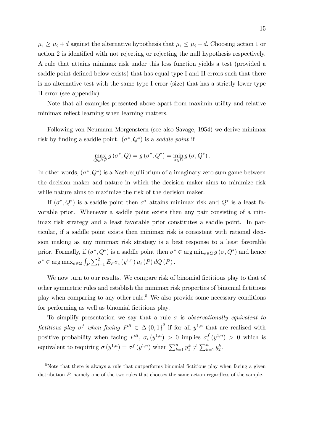$\mu_1 \geq \mu_2 + d$  against the alternative hypothesis that  $\mu_1 \leq \mu_2 - d$ . Choosing action 1 or action 2 is identified with not rejecting or rejecting the null hypothesis respectively. A rule that attains minimax risk under this loss function yields a test (provided a saddle point defined below exists) that has equal type I and II errors such that there is no alternative test with the same type I error (size) that has a strictly lower type II error (see appendix).

Note that all examples presented above apart from maximin utility and relative minimax reflect learning when learning matters.

Following von Neumann Morgenstern (see also Savage, 1954) we derive minimax risk by finding a saddle point.  $(\sigma^*, Q^*)$  is a saddle point if

$$
\max_{Q \in \Delta \mathcal{P}} g(\sigma^*, Q) = g(\sigma^*, Q^*) = \min_{\sigma \in \Sigma} g(\sigma, Q^*).
$$

In other words,  $(\sigma^*, Q^*)$  is a Nash equilibrium of a imaginary zero sum game between the decision maker and nature in which the decision maker aims to minimize risk while nature aims to maximize the risk of the decision maker.

If  $(\sigma^*, Q^*)$  is a saddle point then  $\sigma^*$  attains minimax risk and  $Q^*$  is a least favorable prior. Whenever a saddle point exists then any pair consisting of a minimax risk strategy and a least favorable prior constitutes a saddle point. In particular, if a saddle point exists then minimax risk is consistent with rational decision making as any minimax risk strategy is a best response to a least favorable prior. Formally, if  $(\sigma^*, Q^*)$  is a saddle point then  $\sigma^* \in \arg \min_{\sigma \in \Sigma} g(\sigma, Q^*)$  and hence  $\sigma^* \in \arg \max_{\sigma \in \Sigma} \int_P \sum_{i=1}^2 E_P \sigma_i \left( y^{1,n} \right) \mu_i \left( P \right) dQ \left( P \right).$ 

We now turn to our results. We compare risk of binomial fictitious play to that of other symmetric rules and establish the minimax risk properties of binomial Öctitious play when comparing to any other rule.<sup>5</sup> We also provide some necessary conditions for performing as well as binomial fictitious play.

To simplify presentation we say that a rule  $\sigma$  is observationally equivalent to fictitious play  $\sigma^f$  when facing  $P^B \in \Delta \{0,1\}^2$  if for all  $y^{1,n}$  that are realized with positive probability when facing  $P^B$ ,  $\sigma_i(y^{1,n}) > 0$  implies  $\sigma_i^f$  $i<sup>f</sup>(y<sup>1,n</sup>) > 0$  which is equivalent to requiring  $\sigma(y^{1,n}) = \sigma^f(y^{1,n})$  when  $\sum_{k=1}^n y_1^k \neq \sum_{k=1}^n y_2^k$ .

 $5$ Note that there is always a rule that outperforms binomial fictitious play when facing a given distribution  $P$ , namely one of the two rules that chooses the same action regardless of the sample.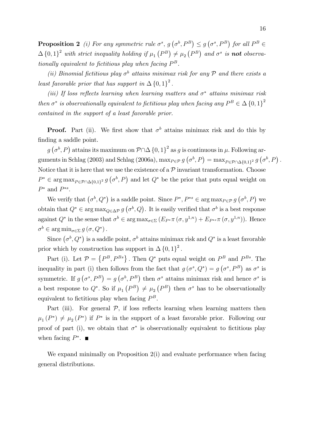**Proposition 2** (i) For any symmetric rule  $\sigma^s$ ,  $g(\sigma^b, P^B) \leq g(\sigma^s, P^B)$  for all  $P^B \in$  $\Delta \{0,1\}^2$  with strict inequality holding if  $\mu_1(P^B) \neq \mu_2(P^B)$  and  $\sigma^s$  is **not** observationally equivalent to fictitious play when facing  $P^B$ .

(ii) Binomial fictitious play  $\sigma^b$  attains minimax risk for any  $\mathcal P$  and there exists a least favorable prior that has support in  $\Delta \{0, 1\}^2$ .

(iii) If loss reflects learning when learning matters and  $\sigma^*$  attains minimax risk then  $\sigma^*$  is observationally equivalent to fictitious play when facing any  $P^B \in \Delta \{0,1\}^2$ contained in the support of a least favorable prior.

**Proof.** Part (ii). We first show that  $\sigma^b$  attains minimax risk and do this by finding a saddle point.

 $g(\sigma^b, P)$  attains its maximum on  $P \cap \Delta \{0, 1\}^2$  as g is continuous in  $\mu$ . Following arguments in Schlag (2003) and Schlag (2006a),  $\max_{P \in \mathcal{P}} g(\sigma^b, P) = \max_{P \in \mathcal{P} \cap \Delta{0,1}^2} g(\sigma^b, P)$ . Notice that it is here that we use the existence of a  $P$  invariant transformation. Choose  $P^* \in \arg \max_{P \in \mathcal{P} \cap \Delta{0,1}^2} g(\sigma^b, P)$  and let  $Q^*$  be the prior that puts equal weight on  $P^*$  and  $P^{*s}$ .

We verify that  $(\sigma^b, Q^*)$  is a saddle point. Since  $P^*, P^{*s} \in \arg \max_{P \in \mathcal{P}} g(\sigma^b, P)$  we obtain that  $Q^* \in \arg \max_{Q \in \Delta \mathcal{P}} g(\sigma^b, Q)$ . It is easily verified that  $\sigma^b$  is a best response against  $Q^*$  in the sense that  $\sigma^b \in \arg\max_{\sigma \in \Sigma} (E_{P^*} \pi(\sigma, y^{1,n}) + E_{P^{*s}} \pi(\sigma, y^{1,n}))$ . Hence  $\sigma^b \in \arg\min_{\sigma \in \Sigma} g(\sigma, Q^*)$ .

Since  $(\sigma^b, Q^*)$  is a saddle point,  $\sigma^b$  attains minimax risk and  $Q^*$  is a least favorable prior which by construction has support in  $\Delta \{0, 1\}^2$ .

Part (i). Let  $\mathcal{P} = \{P^B, P^{Bs}\}\$ . Then  $Q^*$  puts equal weight on  $P^B$  and  $P^{Bs}$ . The inequality in part (i) then follows from the fact that  $g(\sigma^s, Q^*) = g(\sigma^s, P^B)$  as  $\sigma^s$  is symmetric. If  $g(\sigma^s, P^B) = g(\sigma^b, P^B)$  then  $\sigma^s$  attains minimax risk and hence  $\sigma^s$  is a best response to  $Q^*$ . So if  $\mu_1(P^B) \neq \mu_2(P^B)$  then  $\sigma^s$  has to be observationally equivalent to fictitious play when facing  $P^B$ .

Part (iii). For general  $P$ , if loss reflects learning when learning matters then  $\mu_1(P^*) \neq \mu_2(P^*)$  if  $P^*$  is in the support of a least favorable prior. Following our proof of part (i), we obtain that  $\sigma^*$  is observationally equivalent to fictitious play when facing  $P^*$ .

We expand minimally on Proposition 2(i) and evaluate performance when facing general distributions.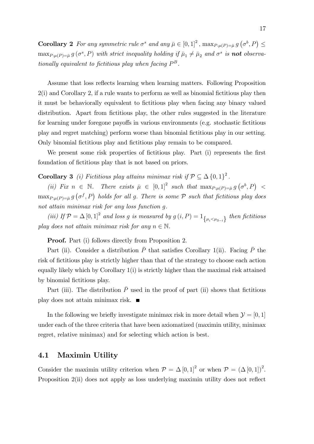**Corollary 2** For any symmetric rule  $\sigma^s$  and any  $\bar{\mu} \in [0, 1]^2$ ,  $\max_{P:\mu(P)=\bar{\mu}} g(\sigma^b, P) \leq$  $\max_{P:\mu(P)=\bar{\mu}} g(\sigma^s, P)$  with strict inequality holding if  $\bar{\mu}_1 \neq \bar{\mu}_2$  and  $\sigma^s$  is **not** observationally equivalent to fictitious play when facing  $P^B$ .

Assume that loss reflects learning when learning matters. Following Proposition  $2(i)$  and Corollary 2, if a rule wants to perform as well as binomial fictitious play then it must be behaviorally equivalent to fictitious play when facing any binary valued distribution. Apart from fictitious play, the other rules suggested in the literature for learning under foregone payoffs in various environments (e.g. stochastic fictitious play and regret matching) perform worse than binomial Öctitious play in our setting. Only binomial fictitious play and fictitious play remain to be compared.

We present some risk properties of fictitious play. Part (i) represents the first foundation of fictitious play that is not based on priors.

**Corollary 3** (i) Fictitious play attains minimax risk if  $\mathcal{P} \subseteq \Delta \{0, 1\}^2$ .

(ii) Fix  $n \in \mathbb{N}$ . There exists  $\bar{\mu} \in [0,1]^2$  such that  $\max_{P:\mu(P)=\bar{\mu}} g(\sigma^b, P)$  $\max_{P:\mu(P)=\bar{\mu}} g(\sigma^f, P)$  holds for all g. There is some  $P$  such that fictitious play does not attain minimax risk for any loss function g.

(iii) If  $\mathcal{P} = \Delta [0, 1]^2$  and loss g is measured by  $g(i, P) = 1_{\{\mu_i < \mu_{3-i}\}}$  then fictitious play does not attain minimax risk for any  $n \in \mathbb{N}$ .

Proof. Part (i) follows directly from Proposition 2.

Part (ii). Consider a distribution  $\bar{P}$  that satisfies Corollary 1(ii). Facing  $\bar{P}$  the risk of fictitious play is strictly higher than that of the strategy to choose each action equally likely which by Corollary  $1(i)$  is strictly higher than the maximal risk attained by binomial fictitious play.

Part (iii). The distribution  $\bar{P}$  used in the proof of part (ii) shows that fictitious play does not attain minimax risk.

In the following we briefly investigate minimax risk in more detail when  $\mathcal{Y} = [0, 1]$ under each of the three criteria that have been axiomatized (maximin utility, minimax regret, relative minimax) and for selecting which action is best.

#### 4.1 Maximin Utility

Consider the maximin utility criterion when  $P = \Delta [0, 1]^2$  or when  $P = (\Delta [0, 1])^2$ . Proposition 2(ii) does not apply as loss underlying maximin utility does not reflect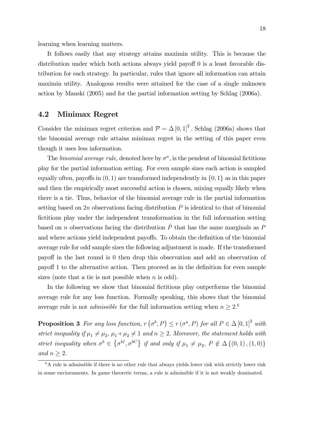learning when learning matters.

It follows easily that any strategy attains maximin utility. This is because the distribution under which both actions always yield payoff  $0$  is a least favorable distribution for each strategy. In particular, rules that ignore all information can attain maximin utility. Analogous results were attained for the case of a single unknown action by Manski (2005) and for the partial information setting by Schlag (2006a).

#### 4.2 Minimax Regret

Consider the minimax regret criterion and  $P = \Delta [0, 1]^2$ . Schlag (2006a) shows that the binomial average rule attains minimax regret in the setting of this paper even though it uses less information.

The *binomial average rule*, denoted here by  $\sigma^a$ , is the pendent of binomial fictitious play for the partial information setting. For even sample sizes each action is sampled equally often, payoffs in  $(0, 1)$  are transformed independently in  $\{0, 1\}$  as in this paper and then the empirically most successful action is chosen, mixing equally likely when there is a tie. Thus, behavior of the binomial average rule in the partial information setting based on 2n observations facing distribution  $P$  is identical to that of binomial Öctitious play under the independent transformation in the full information setting based on n observations facing the distribution  $\hat{P}$  that has the same marginals as P and where actions yield independent payoffs. To obtain the definition of the binomial average rule for odd sample sizes the following adjustment is made. If the transformed payo§ in the last round is 0 then drop this observation and add an observation of payoff 1 to the alternative action. Then proceed as in the definition for even sample sizes (note that a tie is not possible when  $n$  is odd).

In the following we show that binomial fictitious play outperforms the binomial average rule for any loss function. Formally speaking, this shows that the binomial average rule is not *admissible* for the full information setting when  $n \geq 2$ .<sup>6</sup>

**Proposition 3** For any loss function,  $r(\sigma^b, P) \le r(\sigma^a, P)$  for all  $P \in \Delta [0, 1]^2$  with strict inequality if  $\mu_1 \neq \mu_2$ ,  $\mu_1 + \mu_2 \neq 1$  and  $n \geq 2$ . Moreover, the statement holds with strict inequality when  $\sigma^b \in \{\sigma^{bl}, \sigma^{bC}\}\$ if and only if  $\mu_1 \neq \mu_2$ ,  $P \notin \Delta\{(0,1), (1,0)\}\$ and  $n \geq 2$ .

 $6A$  rule is admissible if there is no other rule that always yields lower risk with strictly lower risk in some enviornments. In game theoretic terms, a rule is admissible if it is not weakly dominated.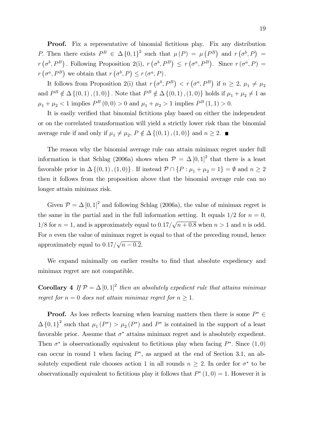**Proof.** Fix a representative of binomial fictitious play. Fix any distribution P. Then there exists  $P^B \in \Delta \{0,1\}^2$  such that  $\mu(P) = \mu(P^B)$  and  $r(\sigma^b, P) =$  $r(\sigma^b, P^B)$ . Following Proposition 2(i),  $r(\sigma^b, P^B) \le r(\sigma^a, P^B)$ . Since  $r(\sigma^a, P) =$  $r(\sigma^a, P^B)$  we obtain that  $r(\sigma^b, P) \le r(\sigma^a, P)$ .

It follows from Proposition 2(i) that  $r(\sigma^b, P^B) < r(\sigma^a, P^B)$  if  $n \geq 2$ ,  $\mu_1 \neq \mu_2$ and  $P^B \notin \Delta \{(0,1), (1,0)\}\.$  Note that  $P^B \notin \Delta \{(0,1), (1,0)\}\.$  holds if  $\mu_1 + \mu_2 \neq 1$  as  $\mu_1 + \mu_2 < 1$  implies  $P^B(0,0) > 0$  and  $\mu_1 + \mu_2 > 1$  implies  $P^B(1,1) > 0$ .

It is easily verified that binomial fictitious play based on either the independent or on the correlated transformation will yield a strictly lower risk than the binomial average rule if and only if  $\mu_1 \neq \mu_2$ ,  $P \notin \Delta \{ (0, 1), (1, 0) \}$  and  $n \geq 2$ .

The reason why the binomial average rule can attain minimax regret under full information is that Schlag (2006a) shows when  $P = \Delta [0, 1]^2$  that there is a least favorable prior in  $\Delta \{(0,1), (1,0)\}\$ . If instead  $\mathcal{P} \cap \{P : \mu_1 + \mu_2 = 1\} = \emptyset$  and  $n \geq 2$ then it follows from the proposition above that the binomial average rule can no longer attain minimax risk.

Given  $P = \Delta [0, 1]^2$  and following Schlag (2006a), the value of minimax regret is the same in the partial and in the full information setting. It equals  $1/2$  for  $n = 0$ ,  $1/8$  for  $n = 1$ , and is approximately equal to  $0.17/\sqrt{n + 0.8}$  when  $n > 1$  and n is odd. For  $n$  even the value of minimax regret is equal to that of the preceding round, hence approximately equal to  $0.17/\sqrt{n-0.2}$ .

We expand minimally on earlier results to find that absolute expediency and minimax regret are not compatible.

**Corollary 4** If  $\mathcal{P} = \Delta [0, 1]^2$  then an absolutely expedient rule that attains minimax regret for  $n = 0$  does not attain minimax regret for  $n \geq 1$ .

**Proof.** As loss reflects learning when learning matters then there is some  $P^* \in$  $\Delta \{0,1\}^2$  such that  $\mu_1(P^*) > \mu_2(P^*)$  and  $P^*$  is contained in the support of a least favorable prior. Assume that  $\sigma^*$  attains minimax regret and is absolutely expedient. Then  $\sigma^*$  is observationally equivalent to fictitious play when facing  $P^*$ . Since  $(1,0)$ can occur in round 1 when facing  $P^*$ , as argued at the end of Section 3.1, an absolutely expedient rule chooses action 1 in all rounds  $n \geq 2$ . In order for  $\sigma^*$  to be observationally equivalent to fictitious play it follows that  $P^*(1,0) = 1$ . However it is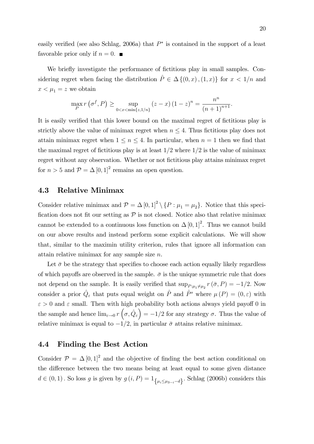easily verified (see also Schlag, 2006a) that  $P^*$  is contained in the support of a least favorable prior only if  $n = 0$ .

We briefly investigate the performance of fictitious play in small samples. Considering regret when facing the distribution  $\hat{P} \in \Delta \{ (0, x), (1, x) \}$  for  $x < 1/n$  and  $x < \mu_1 = z$  we obtain

$$
\max_{P} r(\sigma^{f}, P) \ge \sup_{0 < x < \min\{z, 1/n\}} (z - x) (1 - z)^{n} = \frac{n^{n}}{(n+1)^{n+1}}.
$$

It is easily verified that this lower bound on the maximal regret of fictitious play is strictly above the value of minimax regret when  $n \leq 4$ . Thus fictitious play does not attain minimax regret when  $1 \leq n \leq 4$ . In particular, when  $n = 1$  then we find that the maximal regret of fictitious play is at least  $1/2$  where  $1/2$  is the value of minimax regret without any observation. Whether or not fictitious play attains minimax regret for  $n > 5$  and  $P = \Delta [0, 1]^2$  remains an open question.

#### 4.3 Relative Minimax

Consider relative minimax and  $P = \Delta [0, 1]^2 \setminus \{P : \mu_1 = \mu_2\}$ . Notice that this specification does not fit our setting as  $P$  is not closed. Notice also that relative minimax cannot be extended to a continuous loss function on  $\Delta [0, 1]^2$ . Thus we cannot build on our above results and instead perform some explicit calculations. We will show that, similar to the maximin utility criterion, rules that ignore all information can attain relative minimax for any sample size n.

Let  $\bar{\sigma}$  be the strategy that specifies to choose each action equally likely regardless of which payoffs are observed in the sample.  $\bar{\sigma}$  is the unique symmetric rule that does not depend on the sample. It is easily verified that  $\sup_{P:\mu_1\neq\mu_2} r(\bar{\sigma}, P) = -1/2$ . Now consider a prior  $\hat{Q}_{\varepsilon}$  that puts equal weight on  $\hat{P}$  and  $\hat{P}^s$  where  $\mu(P) = (0, \varepsilon)$  with  $\varepsilon > 0$  and  $\varepsilon$  small. Then with high probability both actions always yield payoff 0 in the sample and hence  $\lim_{\varepsilon \to 0} r(\sigma, \hat{Q}_{\varepsilon}) = -1/2$  for any strategy  $\sigma$ . Thus the value of relative minimax is equal to  $-1/2$ , in particular  $\bar{\sigma}$  attains relative minimax.

#### 4.4 Finding the Best Action

Consider  $\mathcal{P} = \Delta [0, 1]^2$  and the objective of finding the best action conditional on the difference between the two means being at least equal to some given distance  $d \in (0, 1)$ . So loss g is given by  $g(i, P) = 1_{\{\mu_i \leq \mu_{3-i}-d\}}$ . Schlag (2006b) considers this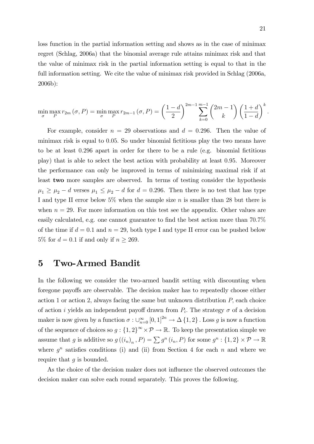loss function in the partial information setting and shows as in the case of minimax regret (Schlag, 2006a) that the binomial average rule attains minimax risk and that the value of minimax risk in the partial information setting is equal to that in the full information setting. We cite the value of minimax risk provided in Schlag (2006a, 2006b):

$$
\min_{\sigma} \max_{P} r_{2m}(\sigma, P) = \min_{\sigma} \max_{P} r_{2m-1}(\sigma, P) = \left(\frac{1-d}{2}\right)^{2m-1} \sum_{k=0}^{m-1} {2m-1 \choose k} \left(\frac{1+d}{1-d}\right)^k.
$$

For example, consider  $n = 29$  observations and  $d = 0.296$ . Then the value of minimax risk is equal to 0.05. So under binomial fictitious play the two means have to be at least 0.296 apart in order for there to be a rule (e.g. binomial fictitious play) that is able to select the best action with probability at least 0:95. Moreover the performance can only be improved in terms of minimizing maximal risk if at least two more samples are observed. In terms of testing consider the hypothesis  $\mu_1 \ge \mu_2 - d$  verses  $\mu_1 \le \mu_2 - d$  for  $d = 0.296$ . Then there is no test that has type I and type II error below  $5\%$  when the sample size n is smaller than 28 but there is when  $n = 29$ . For more information on this test see the appendix. Other values are easily calculated, e.g. one cannot guarantee to find the best action more than  $70.7\%$ of the time if  $d = 0.1$  and  $n = 29$ , both type I and type II error can be pushed below 5% for  $d = 0.1$  if and only if  $n \ge 269$ .

### 5 Two-Armed Bandit

In the following we consider the two-armed bandit setting with discounting when foregone payoffs are observable. The decision maker has to repeatedly choose either action 1 or action 2, always facing the same but unknown distribution  $P$ , each choice of action *i* yields an independent payoff drawn from  $P_i$ . The strategy  $\sigma$  of a decision maker is now given by a function  $\sigma: \bigcup_{n=0}^{\infty} [0,1]^{2n} \to \Delta \{1,2\}$ . Loss g is now a function of the sequence of choices so  $g: \{1,2\}^{\infty} \times \mathcal{P} \to \mathbb{R}$ . To keep the presentation simple we assume that g is additive so  $g((i_n)_n, P) = \sum g^n(i_n, P)$  for some  $g^n : \{1, 2\} \times P \to \mathbb{R}$ where  $g^n$  satisfies conditions (i) and (ii) from Section 4 for each n and where we require that  $g$  is bounded.

As the choice of the decision maker does not influence the observed outcomes the decision maker can solve each round separately. This proves the following.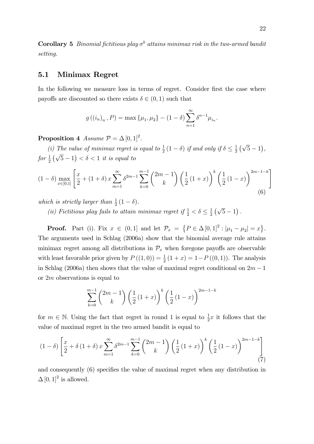**Corollary 5** Binomial fictitious play  $\sigma^b$  attains minimax risk in the two-armed bandit setting.

#### 5.1 Minimax Regret

In the following we measure loss in terms of regret. Consider first the case where payoffs are discounted so there exists  $\delta \in (0,1)$  such that

$$
g((i_n)_n, P) = \max \{ \mu_1, \mu_2 \} - (1 - \delta) \sum_{n=1}^{\infty} \delta^{n-1} \mu_{i_n}.
$$

**Proposition 4** Assume  $\mathcal{P} = \Delta [0, 1]^2$ .

(i) The value of minimax regret is equal to  $\frac{1}{2}(1-\delta)$  if and only if  $\delta \leq \frac{1}{2}$  $\frac{1}{2}(\sqrt{5}-1),$ for  $\frac{1}{2}(\sqrt{5}-1) < \delta < 1$  it is equal to

$$
(1 - \delta) \max_{x \in [0,1]} \left[ \frac{x}{2} + (1 + \delta) x \sum_{m=1}^{\infty} \delta^{2m-1} \sum_{k=0}^{m-1} {2m-1 \choose k} \left( \frac{1}{2} (1+x) \right)^k \left( \frac{1}{2} (1-x) \right)^{2m-1-k} \right]
$$
\n(6)

which is strictly larger than  $\frac{1}{2}(1-\delta)$ .

(ii) Fictitious play fails to attain minimax regret if  $\frac{1}{2} < \delta \leq \frac{1}{2}$  $\frac{1}{2}(\sqrt{5}-1).$ 

**Proof.** Part (i). Fix  $x \in (0,1]$  and let  $\mathcal{P}_x = \{P \in \Delta [0,1]^2 : |\mu_1 - \mu_2| = x\}.$ The arguments used in Schlag (2006a) show that the binomial average rule attains minimax regret among all distributions in  $\mathcal{P}_x$  when foregone payoffs are observable with least favorable prior given by  $P((1,0)) = \frac{1}{2}(1+x) = 1-P((0,1))$ . The analysis in Schlag (2006a) then shows that the value of maximal regret conditional on  $2m - 1$ or 2m observations is equal to

$$
\sum_{k=0}^{m-1} {2m-1 \choose k} \left(\frac{1}{2}(1+x)\right)^k \left(\frac{1}{2}(1-x)\right)^{2m-1-k}
$$

for  $m \in \mathbb{N}$ . Using the fact that regret in round 1 is equal to  $\frac{1}{2}x$  it follows that the value of maximal regret in the two armed bandit is equal to

$$
(1 - \delta) \left[ \frac{x}{2} + \delta \left( 1 + \delta \right) x \sum_{m=1}^{\infty} \delta^{2m-1} \sum_{k=0}^{m-1} {2m-1 \choose k} \left( \frac{1}{2} (1+x) \right)^k \left( \frac{1}{2} (1-x) \right)^{2m-1-k} \right] \tag{7}
$$

and consequently  $(6)$  specifies the value of maximal regret when any distribution in  $\Delta [0, 1]^2$  is allowed.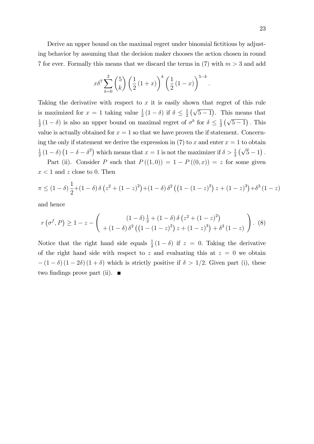Derive an upper bound on the maximal regret under binomial fictitious by adjusting behavior by assuming that the decision maker chooses the action chosen in round 7 for ever. Formally this means that we discard the terms in (7) with  $m > 3$  and add

$$
x\delta^7 \sum_{k=0}^2 {5 \choose k} \left(\frac{1}{2}(1+x)\right)^k \left(\frac{1}{2}(1-x)\right)^{5-k}.
$$

Taking the derivative with respect to  $x$  it is easily shown that regret of this rule is maximized for  $x = 1$  taking value  $\frac{1}{2}(1 - \delta)$  if  $\delta \leq \frac{1}{2}$  $\frac{1}{2}(\sqrt{5-1})$ . This means that 1  $\frac{1}{2}(1-\delta)$  is also an upper bound on maximal regret of  $\sigma^b$  for  $\delta \leq \frac{1}{2}$  $\frac{1}{2}(\sqrt{5-1})$ . This value is actually obtained for  $x = 1$  so that we have proven the if statement. Concerning the only if statement we derive the expression in (7) to x and enter  $x = 1$  to obtain 1  $\frac{1}{2}(1-\delta)(1-\delta-\delta^2)$  which means that  $x=1$  is not the maximizer if  $\delta > \frac{1}{2}(\sqrt{5}-1)$ .

Part (ii). Consider P such that  $P((1,0)) = 1 - P((0,x)) = z$  for some given  $x < 1$  and z close to 0. Then

$$
\pi \le (1 - \delta) \frac{1}{2} + (1 - \delta) \delta (z^2 + (1 - z)^2) + (1 - \delta) \delta^2 ((1 - (1 - z)^2) z + (1 - z)^3) + \delta^3 (1 - z)
$$

and hence

$$
r\left(\sigma^{f},P\right) \geq 1-z - \left(\begin{array}{c} (1-\delta)\frac{1}{2} + (1-\delta)\delta\left(z^{2} + (1-z)^{2}\right) \\ + (1-\delta)\delta^{2}\left(\left(1 - (1-z)^{2}\right)z + (1-z)^{3}\right) + \delta^{3}\left(1-z\right) \end{array}\right). (8)
$$

Notice that the right hand side equals  $\frac{1}{2}(1-\delta)$  if  $z = 0$ . Taking the derivative of the right hand side with respect to z and evaluating this at  $z = 0$  we obtain  $-(1 - \delta) (1 - 2\delta) (1 + \delta)$  which is strictly positive if  $\delta > 1/2$ . Given part (i), these two findings prove part (ii).  $\blacksquare$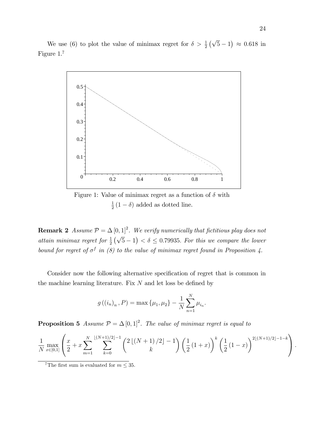We use (6) to plot the value of minimax regret for  $\delta > \frac{1}{2}(\sqrt{5}-1) \approx 0.618$  in Figure 1.<sup>7</sup>



Figure 1: Value of minimax regret as a function of  $\delta$  with 1  $\frac{1}{2}(1-\delta)$  added as dotted line.

**Remark 2** Assume  $P = \Delta [0, 1]^2$ . We verify numerically that fictitious play does not attain minimax regret for  $\frac{1}{2}(\sqrt{5}-1) < \delta \leq 0.79935$ . For this we compare the lower bound for regret of  $\sigma^f$  in (8) to the value of minimax regret found in Proposition 4.

Consider now the following alternative specification of regret that is common in the machine learning literature. Fix  $N$  and let loss be defined by

$$
g((i_n)_n, P) = \max \{\mu_1, \mu_2\} - \frac{1}{N} \sum_{n=1}^{N} \mu_{i_n}.
$$

**Proposition 5** Assume  $P = \Delta [0, 1]^2$ . The value of minimax regret is equal to

$$
\frac{1}{N} \max_{x \in [0,1]} \left( \frac{x}{2} + x \sum_{m=1}^N \sum_{k=0}^{\lfloor (N+1)/2 \rfloor - 1} \binom{2 \lfloor (N+1)/2 \rfloor - 1}{k} \left( \frac{1}{2} (1+x) \right)^k \left( \frac{1}{2} (1-x) \right)^{2 \lfloor (N+1)/2 \rfloor - 1 - k} \right).
$$

<sup>7</sup>The first sum is evaluated for  $m \leq 35$ .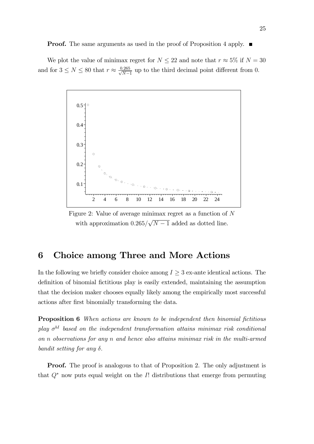We plot the value of minimax regret for  $N \leq 22$  and note that  $r \approx 5\%$  if  $N = 30$ and for  $3 \leq N \leq 80$  that  $r \approx \frac{0.265}{\sqrt{N-1}}$  $\frac{1.265}{N-1}$  up to the third decimal point different from 0.



Figure 2: Value of average minimax regret as a function of N with approximation  $0.265/\sqrt{N-1}$  added as dotted line.

# 6 Choice among Three and More Actions

In the following we briefly consider choice among  $I \geq 3$  ex-ante identical actions. The definition of binomial fictitious play is easily extended, maintaining the assumption that the decision maker chooses equally likely among the empirically most successful actions after Örst binomially transforming the data.

Proposition 6 When actions are known to be independent then binomial fictitious play  $\sigma^{bI}$  based on the independent transformation attains minimax risk conditional on n observations for any n and hence also attains minimax risk in the multi-armed bandit setting for any  $\delta$ .

**Proof.** The proof is analogous to that of Proposition 2. The only adjustment is that  $Q^*$  now puts equal weight on the I! distributions that emerge from permuting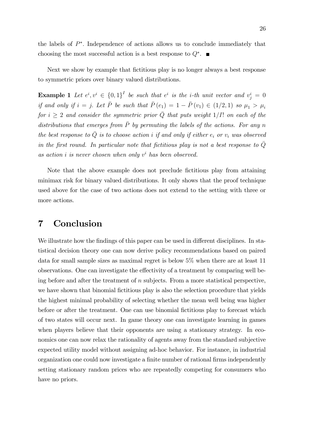the labels of  $P^*$ . Independence of actions allows us to conclude immediately that choosing the most successful action is a best response to  $Q^*$ .

Next we show by example that fictitious play is no longer always a best response to symmetric priors over binary valued distributions.

**Example 1** Let  $e^i, v^i \in \{0,1\}^I$  be such that  $e^i$  is the *i*-th unit vector and  $v^i_j = 0$ if and only if  $i = j$ . Let  $\bar{P}$  be such that  $\bar{P}(e_1) = 1 - \bar{P}(v_1) \in (1/2, 1)$  so  $\mu_1 > \mu_i$ for  $i \geq 2$  and consider the symmetric prior  $\overline{Q}$  that puts weight  $1/I!$  on each of the distributions that emerges from  $\overline{P}$  by permuting the labels of the actions. For any n the best response to  $\overline{Q}$  is to choose action i if and only if either  $e_i$  or  $v_i$  was observed in the first round. In particular note that fictitious play is not a best response to  $\overline{Q}$ as action *i* is never chosen when only  $v^i$  has been observed.

Note that the above example does not preclude fictitious play from attaining minimax risk for binary valued distributions. It only shows that the proof technique used above for the case of two actions does not extend to the setting with three or more actions.

## 7 Conclusion

We illustrate how the findings of this paper can be used in different disciplines. In statistical decision theory one can now derive policy recommendations based on paired data for small sample sizes as maximal regret is below 5% when there are at least 11 observations. One can investigate the effectivity of a treatment by comparing well being before and after the treatment of  $n$  subjects. From a more statistical perspective, we have shown that binomial fictitious play is also the selection procedure that yields the highest minimal probability of selecting whether the mean well being was higher before or after the treatment. One can use binomial fictitious play to forecast which of two states will occur next. In game theory one can investigate learning in games when players believe that their opponents are using a stationary strategy. In economics one can now relax the rationality of agents away from the standard subjective expected utility model without assigning ad-hoc behavior. For instance, in industrial organization one could now investigate a finite number of rational firms independently setting stationary random prices who are repeatedly competing for consumers who have no priors.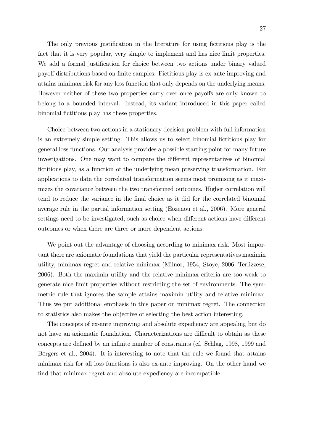The only previous justification in the literature for using fictitious play is the fact that it is very popular, very simple to implement and has nice limit properties. We add a formal justification for choice between two actions under binary valued payoff distributions based on finite samples. Fictitious play is ex-ante improving and attains minimax risk for any loss function that only depends on the underlying means. However neither of these two properties carry over once payoffs are only known to belong to a bounded interval. Instead, its variant introduced in this paper called binomial fictitious play has these properties.

Choice between two actions in a stationary decision problem with full information is an extremely simple setting. This allows us to select binomial fictitious play for general loss functions. Our analysis provides a possible starting point for many future investigations. One may want to compare the different representatives of binomial fictitious play, as a function of the underlying mean preserving transformation. For applications to data the correlated transformation seems most promising as it maximizes the covariance between the two transformed outcomes. Higher correlation will tend to reduce the variance in the final choice as it did for the correlated binomial average rule in the partial information setting (Eozenou et al., 2006). More general settings need to be investigated, such as choice when different actions have different outcomes or when there are three or more dependent actions.

We point out the advantage of choosing according to minimax risk. Most important there are axiomatic foundations that yield the particular representatives maximin utility, minimax regret and relative minimax (Milnor, 1954, Stoye, 2006, Terlizzese, 2006). Both the maximin utility and the relative minimax criteria are too weak to generate nice limit properties without restricting the set of environments. The symmetric rule that ignores the sample attains maximin utility and relative minimax. Thus we put additional emphasis in this paper on minimax regret. The connection to statistics also makes the objective of selecting the best action interesting.

The concepts of ex-ante improving and absolute expediency are appealing but do not have an axiomatic foundation. Characterizations are difficult to obtain as these concepts are deÖned by an inÖnite number of constraints (cf. Schlag, 1998, 1999 and Börgers et al., 2004). It is interesting to note that the rule we found that attains minimax risk for all loss functions is also ex-ante improving. On the other hand we find that minimax regret and absolute expediency are incompatible.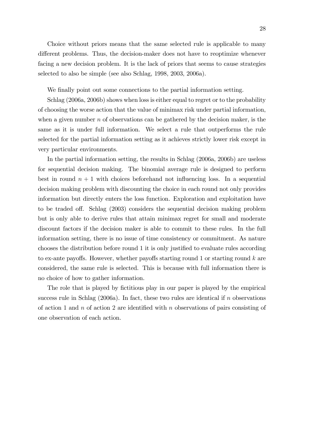Choice without priors means that the same selected rule is applicable to many different problems. Thus, the decision-maker does not have to reoptimize whenever facing a new decision problem. It is the lack of priors that seems to cause strategies selected to also be simple (see also Schlag, 1998, 2003, 2006a).

We finally point out some connections to the partial information setting.

Schlag (2006a, 2006b) shows when loss is either equal to regret or to the probability of choosing the worse action that the value of minimax risk under partial information, when a given number  $n$  of observations can be gathered by the decision maker, is the same as it is under full information. We select a rule that outperforms the rule selected for the partial information setting as it achieves strictly lower risk except in very particular environments.

In the partial information setting, the results in Schlag (2006a, 2006b) are useless for sequential decision making. The binomial average rule is designed to perform best in round  $n + 1$  with choices beforehand not influencing loss. In a sequential decision making problem with discounting the choice in each round not only provides information but directly enters the loss function. Exploration and exploitation have to be traded off. Schlag (2003) considers the sequential decision making problem but is only able to derive rules that attain minimax regret for small and moderate discount factors if the decision maker is able to commit to these rules. In the full information setting, there is no issue of time consistency or commitment. As nature chooses the distribution before round 1 it is only justified to evaluate rules according to ex-ante payoffs. However, whether payoffs starting round 1 or starting round  $k$  are considered, the same rule is selected. This is because with full information there is no choice of how to gather information.

The role that is played by fictitious play in our paper is played by the empirical success rule in Schlag  $(2006a)$ . In fact, these two rules are identical if n observations of action 1 and  $n$  of action 2 are identified with  $n$  observations of pairs consisting of one observation of each action.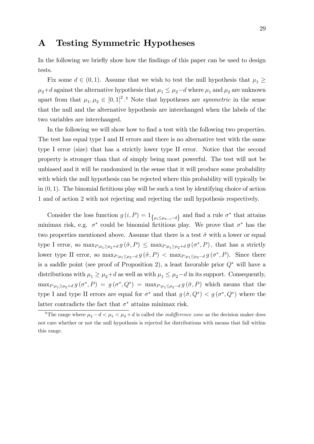## A Testing Symmetric Hypotheses

In the following we briefly show how the findings of this paper can be used to design tests.

Fix some  $d \in (0, 1)$ . Assume that we wish to test the null hypothesis that  $\mu_1 \geq$  $\mu_2+d$  against the alternative hypothesis that  $\mu_1 \leq \mu_2-d$  where  $\mu_1$  and  $\mu_2$  are unknown apart from that  $\mu_1, \mu_2 \in [0, 1]^2$ .<sup>8</sup> Note that hypotheses are *symmetric* in the sense that the null and the alternative hypothesis are interchanged when the labels of the two variables are interchanged.

In the following we will show how to find a test with the following two properties. The test has equal type I and II errors and there is no alternative test with the same type I error (size) that has a strictly lower type II error. Notice that the second property is stronger than that of simply being most powerful. The test will not be unbiased and it will be randomized in the sense that it will produce some probability with which the null hypothesis can be rejected where this probability will typically be in  $(0, 1)$ . The binomial fictitious play will be such a test by identifying choice of action 1 and of action 2 with not rejecting and rejecting the null hypothesis respectively.

Consider the loss function  $g(i, P) = 1_{\{ \mu_i \leq \mu_{3-i} - d \}}$  and find a rule  $\sigma^*$  that attains minimax risk, e.g.  $\sigma^*$  could be binomial fictitious play. We prove that  $\sigma^*$  has the two properties mentioned above. Assume that there is a test  $\hat{\sigma}$  with a lower or equal type I error, so  $\max_{P:\mu_1\geq\mu_2+d} g(\hat{\sigma}, P) \leq \max_{P:\mu_1\geq\mu_2+d} g(\sigma^*, P)$ , that has a strictly lower type II error, so  $\max_{P:\mu_1\leq \mu_2-d} g(\hat{\sigma}, P) < \max_{P:\mu_1\leq \mu_2-d} g(\sigma^*, P)$ . Since there is a saddle point (see proof of Proposition 2), a least favorable prior  $Q^*$  will have a distributions with  $\mu_1 \geq \mu_2+d$  as well as with  $\mu_1 \leq \mu_2-d$  in its support. Consequently,  $\max_{P:\mu_1\geq\mu_2+d} g(\sigma^*, P) = g(\sigma^*, Q^*) = \max_{P:\mu_1\leq\mu_2-d} g(\hat{\sigma}, P)$  which means that the type I and type II errors are equal for  $\sigma^*$  and that  $g(\hat{\sigma}, Q^*) < g(\sigma^*, Q^*)$  where the latter contradicts the fact that  $\sigma^*$  attains minimax risk.

<sup>&</sup>lt;sup>8</sup>The range where  $\mu_2 - d < \mu_1 < \mu_2 + d$  is called the *indifference zone* as the decision maker does not care whether or not the null hypothesis is rejected for distributions with means that fall within this range.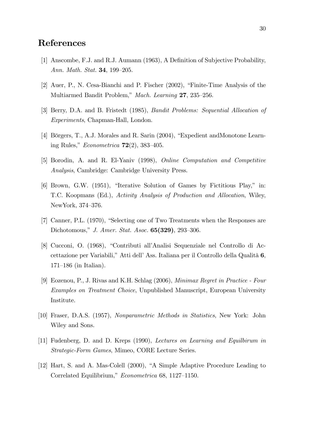## References

- [1] Anscombe, F.J. and R.J. Aumann (1963), A Definition of Subjective Probability, Ann. Math. Stat. 34, 199-205.
- [2] Auer, P., N. Cesa-Bianchi and P. Fischer  $(2002)$ , "Finite-Time Analysis of the Multiarmed Bandit Problem," Mach. Learning 27, 235–256.
- [3] Berry, D.A. and B. Fristedt (1985), Bandit Problems: Sequential Allocation of Experiments, Chapman-Hall, London.
- [4] Börgers, T., A.J. Morales and R. Sarin (2004), "Expedient andMonotone Learning Rules,"  $Econometrica$  **72**(2), 383–405.
- [5] Borodin, A. and R. El-Yaniv (1998), Online Computation and Competitive Analysis, Cambridge: Cambridge University Press.
- $[6]$  Brown, G.W. (1951), "Iterative Solution of Games by Fictitious Play," in: T.C. Koopmans (Ed.), Activity Analysis of Production and Allocation, Wiley, NewYork, 374-376.
- $[7]$  Canner, P.L.  $(1970)$ , "Selecting one of Two Treatments when the Responses are Dichotomous," J. Amer. Stat. Asoc.  $65(329)$ , 293–306.
- [8] Cucconi, O. (1968), "Contributi all'Analisi Sequenziale nel Controllo di Accettazione per Variabili,"Atti dell'Ass. Italiana per il Controllo della Qualità 6,  $171-186$  (in Italian).
- [9] Eozenou, P., J. Rivas and K.H. Schlag (2006), Minimax Regret in Practice Four Examples on Treatment Choice, Unpublished Manuscript, European University Institute.
- [10] Fraser, D.A.S. (1957), Nonparametric Methods in Statistics, New York: John Wiley and Sons.
- [11] Fudenberg, D. and D. Kreps (1990), Lectures on Learning and Equilbirum in Strategic-Form Games, Mimeo, CORE Lecture Series.
- [12] Hart, S. and A. Mas-Colell (2000), "A Simple Adaptive Procedure Leading to Correlated Equilibrium," Econometrica 68, 1127–1150.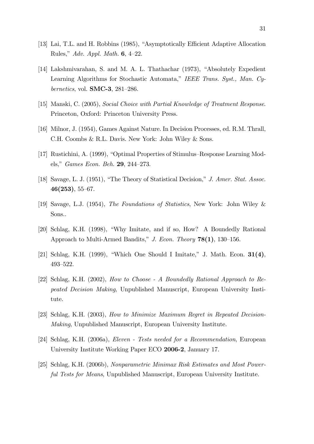- [13] Lai, T.L. and H. Robbins (1985), "Asymptotically Efficient Adaptive Allocation Rules," Adv. Appl. Math.  $6, 4-22$ .
- [14] Lakshmivarahan, S. and M. A. L. Thathachar  $(1973)$ , "Absolutely Expedient Learning Algorithms for Stochastic Automata," IEEE Trans. Syst., Man. Cybernetics, vol.  $SMC-3$ , 281-286.
- [15] Manski, C. (2005), Social Choice with Partial Knowledge of Treatment Response. Princeton, Oxford: Princeton University Press.
- [16] Milnor, J. (1954), Games Against Nature. In Decision Processes, ed. R.M. Thrall, C.H. Coombs & R.L. Davis. New York: John Wiley & Sons.
- [17] Rustichini, A. (1999), "Optimal Properties of Stimulus–Response Learning Models,"  $Games\ Econ. Beh.$  **29**, 244–273.
- [18] Savage, L. J.  $(1951)$ , "The Theory of Statistical Decision," J. Amer. Stat. Assoc.  $46(253), 55-67.$
- [19] Savage, L.J. (1954), The Foundations of Statistics, New York: John Wiley & Sons..
- $[20]$  Schlag, K.H. (1998), "Why Imitate, and if so, How? A Boundedly Rational Approach to Multi-Armed Bandits," J. Econ. Theory  $78(1)$ , 130–156.
- [21] Schlag, K.H. (1999), "Which One Should I Imitate," J. Math. Econ.  $31(4)$ , 493-522.
- [22] Schlag, K.H. (2002), How to Choose A Boundedly Rational Approach to Repeated Decision Making, Unpublished Manuscript, European University Institute.
- [23] Schlag, K.H. (2003), How to Minimize Maximum Regret in Repeated Decision-Making, Unpublished Manuscript, European University Institute.
- [24] Schlag, K.H. (2006a), Eleven Tests needed for a Recommendation, European University Institute Working Paper ECO 2006-2, January 17.
- [25] Schlag, K.H. (2006b), Nonparametric Minimax Risk Estimates and Most Powerful Tests for Means, Unpublished Manuscript, European University Institute.